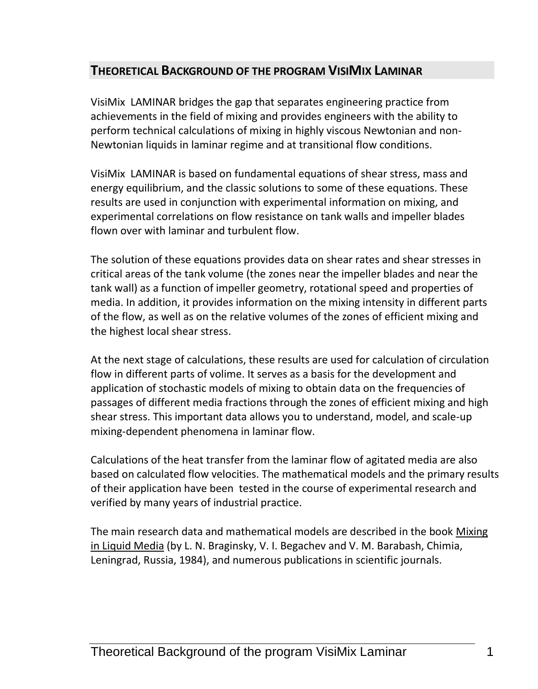## **THEORETICAL BACKGROUND OF THE PROGRAM VISIMIX LAMINAR**

VisiMix LAMINAR bridges the gap that separates engineering practice from achievements in the field of mixing and provides engineers with the ability to perform technical calculations of mixing in highly viscous Newtonian and non-Newtonian liquids in laminar regime and at transitional flow conditions.

VisiMix LAMINAR is based on fundamental equations of shear stress, mass and energy equilibrium, and the classic solutions to some of these equations. These results are used in conjunction with experimental information on mixing, and experimental correlations on flow resistance on tank walls and impeller blades flown over with laminar and turbulent flow.

The solution of these equations provides data on shear rates and shear stresses in critical areas of the tank volume (the zones near the impeller blades and near the tank wall) as a function of impeller geometry, rotational speed and properties of media. In addition, it provides information on the mixing intensity in different parts of the flow, as well as on the relative volumes of the zones of efficient mixing and the highest local shear stress.

At the next stage of calculations, these results are used for calculation of circulation flow in different parts of volime. It serves as a basis for the development and application of stochastic models of mixing to obtain data on the frequencies of passages of different media fractions through the zones of efficient mixing and high shear stress. This important data allows you to understand, model, and scale-up mixing-dependent phenomena in laminar flow.

Calculations of the heat transfer from the laminar flow of agitated media are also based on calculated flow velocities. The mathematical models and the primary results of their application have been tested in the course of experimental research and verified by many years of industrial practice.

The main research data and mathematical models are described in the book Mixing in Liquid Media (by L. N. Braginsky, V. I. Begachev and V. M. Barabash, Chimia, Leningrad, Russia, 1984), and numerous publications in scientific journals.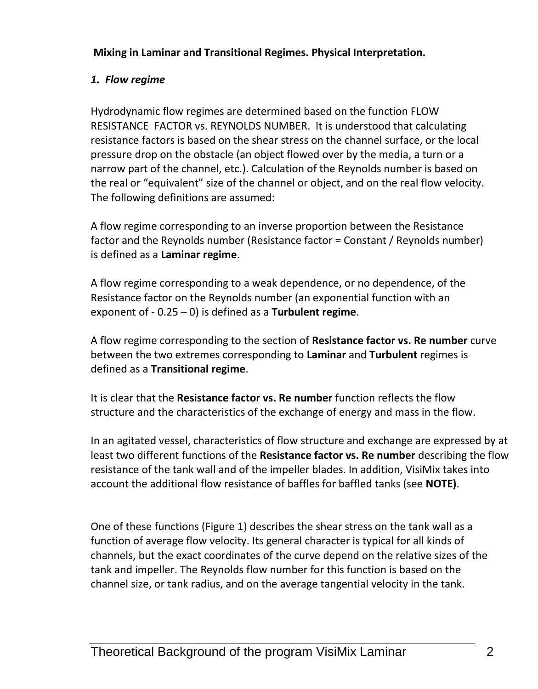**Mixing in Laminar and Transitional Regimes. Physical Interpretation.**

# *1. Flow regime*

Hydrodynamic flow regimes are determined based on the function FLOW RESISTANCE FACTOR vs. REYNOLDS NUMBER. It is understood that calculating resistance factors is based on the shear stress on the channel surface, or the local pressure drop on the obstacle (an object flowed over by the media, a turn or a narrow part of the channel, etc.). Calculation of the Reynolds number is based on the real or "equivalent" size of the channel or object, and on the real flow velocity. The following definitions are assumed:

A flow regime corresponding to an inverse proportion between the Resistance factor and the Reynolds number (Resistance factor = Constant / Reynolds number) is defined as a **Laminar regime**.

A flow regime corresponding to a weak dependence, or no dependence, of the Resistance factor on the Reynolds number (an exponential function with an exponent of - 0.25 – 0) is defined as a **Turbulent regime**.

A flow regime corresponding to the section of **Resistance factor vs. Re number** curve between the two extremes corresponding to **Laminar** and **Turbulent** regimes is defined as a **Transitional regime**.

It is clear that the **Resistance factor vs. Re number** function reflects the flow structure and the characteristics of the exchange of energy and mass in the flow.

In an agitated vessel, characteristics of flow structure and exchange are expressed by at least two different functions of the **Resistance factor vs. Re number** describing the flow resistance of the tank wall and of the impeller blades. In addition, VisiMix takes into account the additional flow resistance of baffles for baffled tanks (see **NOTE)**.

One of these functions (Figure 1) describes the shear stress on the tank wall as a function of average flow velocity. Its general character is typical for all kinds of channels, but the exact coordinates of the curve depend on the relative sizes of the tank and impeller. The Reynolds flow number for this function is based on the channel size, or tank radius, and on the average tangential velocity in the tank.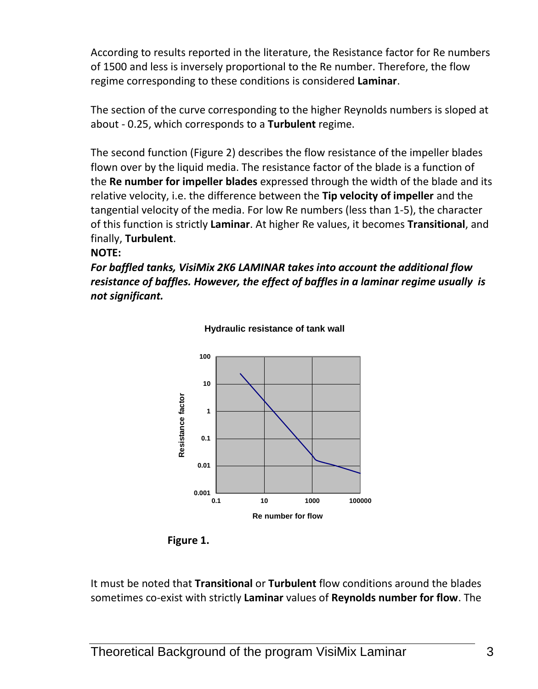According to results reported in the literature, the Resistance factor for Re numbers of 1500 and less is inversely proportional to the Re number. Therefore, the flow regime corresponding to these conditions is considered **Laminar**.

The section of the curve corresponding to the higher Reynolds numbers is sloped at about - 0.25, which corresponds to a **Turbulent** regime.

The second function (Figure 2) describes the flow resistance of the impeller blades flown over by the liquid media. The resistance factor of the blade is a function of the **Re number for impeller blades** expressed through the width of the blade and its relative velocity, i.e. the difference between the **Tip velocity of impeller** and the tangential velocity of the media. For low Re numbers (less than 1-5), the character of this function is strictly **Laminar**. At higher Re values, it becomes **Transitional**, and finally, **Turbulent**.

#### **NOTE:**

*For baffled tanks, VisiMix 2K6 LAMINAR takes into account the additional flow resistance of baffles. However, the effect of baffles in a laminar regime usually is not significant.*



**Hydraulic resistance of tank wall** 

**Figure 1.**

It must be noted that **Transitional** or **Turbulent** flow conditions around the blades sometimes co-exist with strictly **Laminar** values of **Reynolds number for flow**. The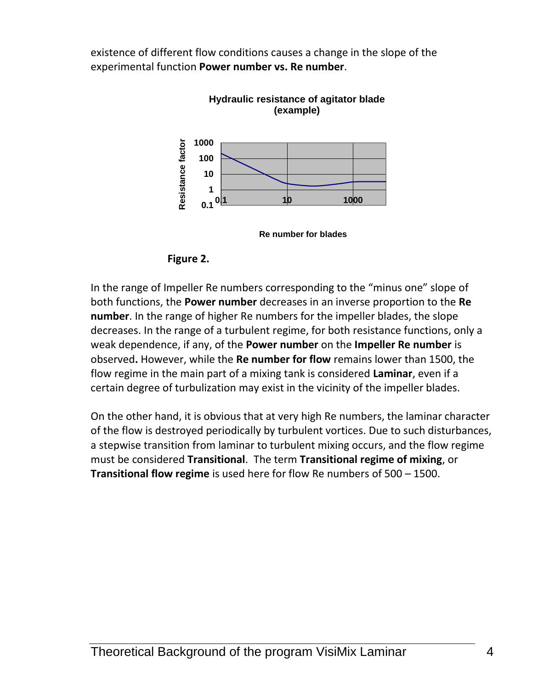existence of different flow conditions causes a change in the slope of the experimental function **Power number vs. Re number**.



**Hydraulic resistance of agitator blade** 

**Re number for blades**



In the range of Impeller Re numbers corresponding to the "minus one" slope of both functions, the **Power number** decreases in an inverse proportion to the **Re number**. In the range of higher Re numbers for the impeller blades, the slope decreases. In the range of a turbulent regime, for both resistance functions, only a weak dependence, if any, of the **Power number** on the **Impeller Re number** is observed**.** However, while the **Re number for flow** remains lower than 1500, the flow regime in the main part of a mixing tank is considered **Laminar**, even if a certain degree of turbulization may exist in the vicinity of the impeller blades.

On the other hand, it is obvious that at very high Re numbers, the laminar character of the flow is destroyed periodically by turbulent vortices. Due to such disturbances, a stepwise transition from laminar to turbulent mixing occurs, and the flow regime must be considered **Transitional**. The term **Transitional regime of mixing**, or **Transitional flow regime** is used here for flow Re numbers of 500 – 1500.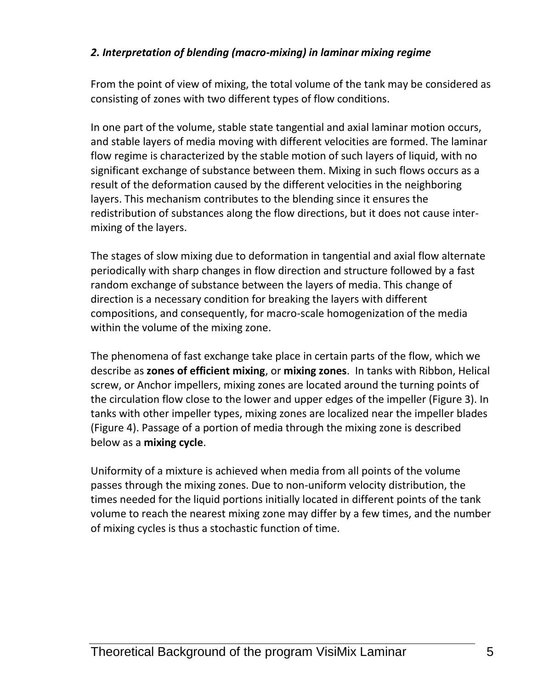## *2. Interpretation of blending (macro-mixing) in laminar mixing regime*

From the point of view of mixing, the total volume of the tank may be considered as consisting of zones with two different types of flow conditions.

In one part of the volume, stable state tangential and axial laminar motion occurs, and stable layers of media moving with different velocities are formed. The laminar flow regime is characterized by the stable motion of such layers of liquid, with no significant exchange of substance between them. Mixing in such flows occurs as a result of the deformation caused by the different velocities in the neighboring layers. This mechanism contributes to the blending since it ensures the redistribution of substances along the flow directions, but it does not cause intermixing of the layers.

The stages of slow mixing due to deformation in tangential and axial flow alternate periodically with sharp changes in flow direction and structure followed by a fast random exchange of substance between the layers of media. This change of direction is a necessary condition for breaking the layers with different compositions, and consequently, for macro-scale homogenization of the media within the volume of the mixing zone.

The phenomena of fast exchange take place in certain parts of the flow, which we describe as **zones of efficient mixing**, or **mixing zones**. In tanks with Ribbon, Helical screw, or Anchor impellers, mixing zones are located around the turning points of the circulation flow close to the lower and upper edges of the impeller (Figure 3). In tanks with other impeller types, mixing zones are localized near the impeller blades (Figure 4). Passage of a portion of media through the mixing zone is described below as a **mixing cycle**.

Uniformity of a mixture is achieved when media from all points of the volume passes through the mixing zones. Due to non-uniform velocity distribution, the times needed for the liquid portions initially located in different points of the tank volume to reach the nearest mixing zone may differ by a few times, and the number of mixing cycles is thus a stochastic function of time.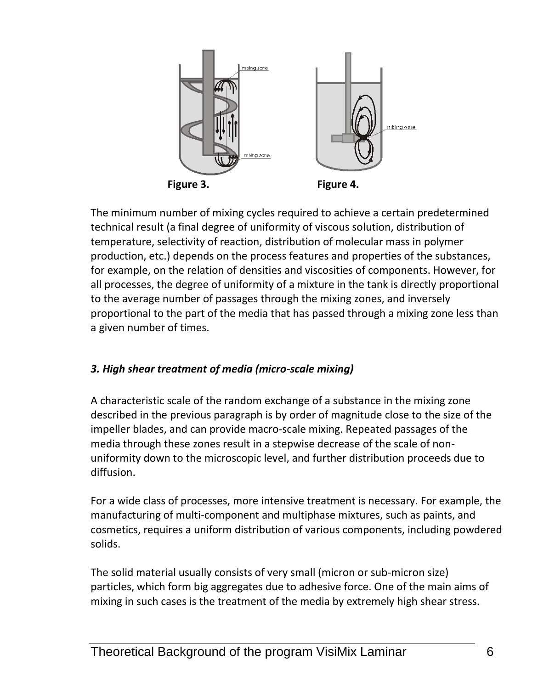

The minimum number of mixing cycles required to achieve a certain predetermined technical result (a final degree of uniformity of viscous solution, distribution of temperature, selectivity of reaction, distribution of molecular mass in polymer production, etc.) depends on the process features and properties of the substances, for example, on the relation of densities and viscosities of components. However, for all processes, the degree of uniformity of a mixture in the tank is directly proportional to the average number of passages through the mixing zones, and inversely proportional to the part of the media that has passed through a mixing zone less than a given number of times.

### *3. High shear treatment of media (micro-scale mixing)*

A characteristic scale of the random exchange of a substance in the mixing zone described in the previous paragraph is by order of magnitude close to the size of the impeller blades, and can provide macro-scale mixing. Repeated passages of the media through these zones result in a stepwise decrease of the scale of nonuniformity down to the microscopic level, and further distribution proceeds due to diffusion.

For a wide class of processes, more intensive treatment is necessary. For example, the manufacturing of multi-component and multiphase mixtures, such as paints, and cosmetics, requires a uniform distribution of various components, including powdered solids.

The solid material usually consists of very small (micron or sub-micron size) particles, which form big aggregates due to adhesive force. One of the main aims of mixing in such cases is the treatment of the media by extremely high shear stress.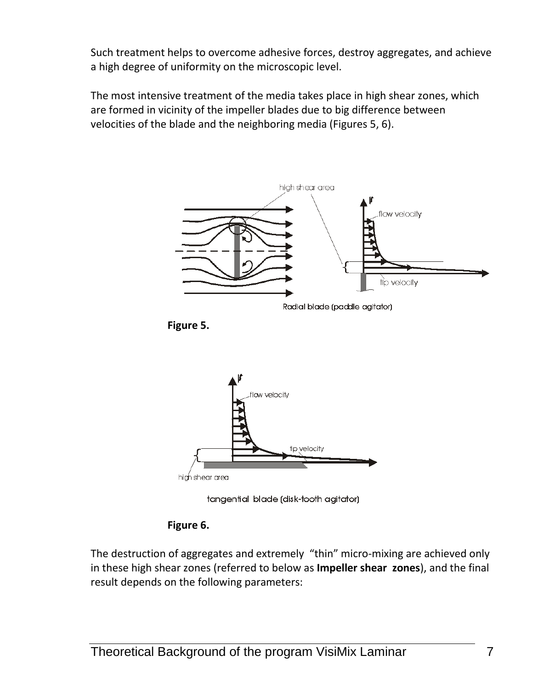Such treatment helps to overcome adhesive forces, destroy aggregates, and achieve a high degree of uniformity on the microscopic level.

The most intensive treatment of the media takes place in high shear zones, which are formed in vicinity of the impeller blades due to big difference between velocities of the blade and the neighboring media (Figures 5, 6).







tangential blade (disk-tooth agitator)



The destruction of aggregates and extremely "thin" micro-mixing are achieved only in these high shear zones (referred to below as **Impeller shear zones**), and the final result depends on the following parameters: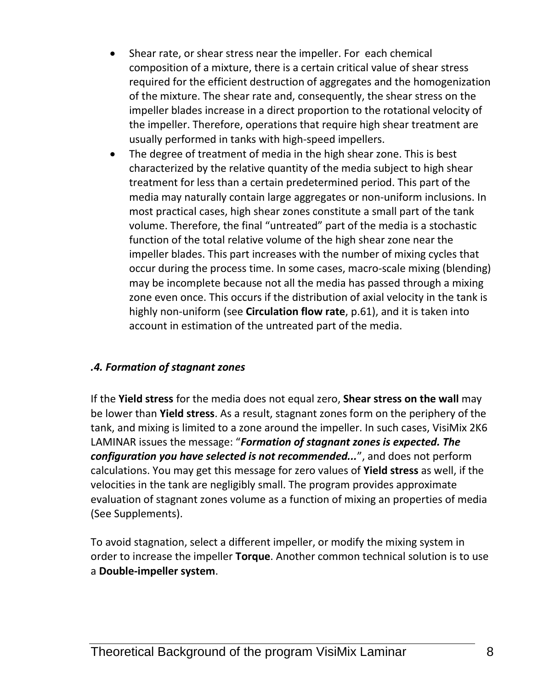- Shear rate, or shear stress near the impeller. For each chemical composition of a mixture, there is a certain critical value of shear stress required for the efficient destruction of aggregates and the homogenization of the mixture. The shear rate and, consequently, the shear stress on the impeller blades increase in a direct proportion to the rotational velocity of the impeller. Therefore, operations that require high shear treatment are usually performed in tanks with high-speed impellers.
- The degree of treatment of media in the high shear zone. This is best characterized by the relative quantity of the media subject to high shear treatment for less than a certain predetermined period. This part of the media may naturally contain large aggregates or non-uniform inclusions. In most practical cases, high shear zones constitute a small part of the tank volume. Therefore, the final "untreated" part of the media is a stochastic function of the total relative volume of the high shear zone near the impeller blades. This part increases with the number of mixing cycles that occur during the process time. In some cases, macro-scale mixing (blending) may be incomplete because not all the media has passed through a mixing zone even once. This occurs if the distribution of axial velocity in the tank is highly non-uniform (see **Circulation flow rate**, p.61), and it is taken into account in estimation of the untreated part of the media.

#### *.4. Formation of stagnant zones*

If the **Yield stress** for the media does not equal zero, **Shear stress on the wall** may be lower than **Yield stress**. As a result, stagnant zones form on the periphery of the tank, and mixing is limited to a zone around the impeller. In such cases, VisiMix 2K6 LAMINAR issues the message: "*Formation of stagnant zones is expected. The configuration you have selected is not recommended...*", and does not perform calculations. You may get this message for zero values of **Yield stress** as well, if the velocities in the tank are negligibly small. The program provides approximate evaluation of stagnant zones volume as a function of mixing an properties of media (See Supplements).

To avoid stagnation, select a different impeller, or modify the mixing system in order to increase the impeller **Torque**. Another common technical solution is to use a **Double-impeller system**.